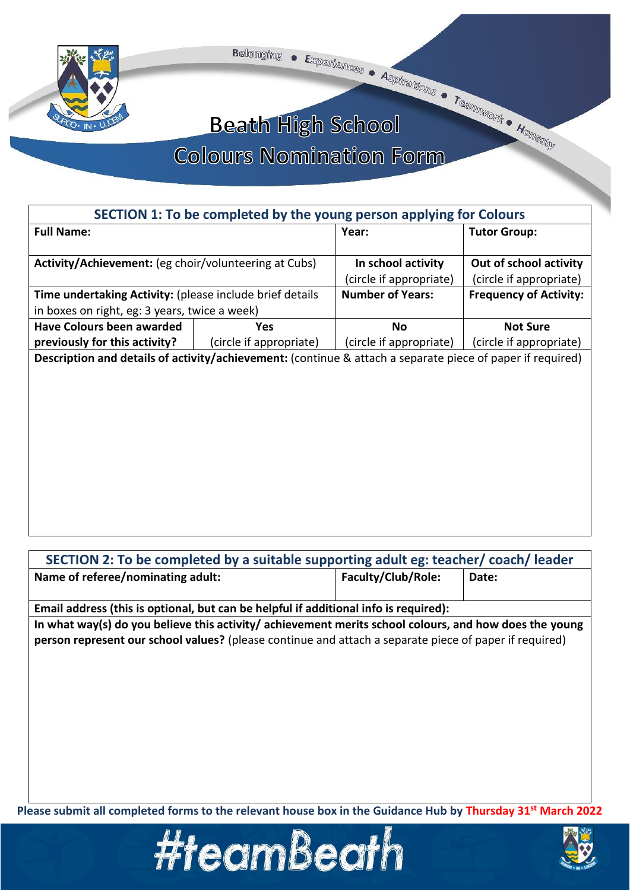



## **Beath High School**

## **Colours Nomination Form**

|                                                                                                            | SECTION 1: To be completed by the young person applying for Colours |                         |                               |
|------------------------------------------------------------------------------------------------------------|---------------------------------------------------------------------|-------------------------|-------------------------------|
| <b>Full Name:</b>                                                                                          |                                                                     | Year:                   | <b>Tutor Group:</b>           |
|                                                                                                            |                                                                     |                         |                               |
| Activity/Achievement: (eg choir/volunteering at Cubs)                                                      |                                                                     | In school activity      | Out of school activity        |
|                                                                                                            |                                                                     | (circle if appropriate) | (circle if appropriate)       |
| Time undertaking Activity: (please include brief details                                                   |                                                                     | <b>Number of Years:</b> | <b>Frequency of Activity:</b> |
| in boxes on right, eg: 3 years, twice a week)                                                              |                                                                     |                         |                               |
| <b>Have Colours been awarded</b>                                                                           | <b>Yes</b>                                                          | Νo                      | <b>Not Sure</b>               |
| previously for this activity?                                                                              | (circle if appropriate)                                             | (circle if appropriate) | (circle if appropriate)       |
| Description and details of activity/achievement: (continue & attach a separate piece of paper if required) |                                                                     |                         |                               |
|                                                                                                            |                                                                     |                         |                               |
|                                                                                                            |                                                                     |                         |                               |
|                                                                                                            |                                                                     |                         |                               |
|                                                                                                            |                                                                     |                         |                               |
|                                                                                                            |                                                                     |                         |                               |
|                                                                                                            |                                                                     |                         |                               |

| SECTION 2: To be completed by a suitable supporting adult eg: teacher/coach/leader                     |                    |       |
|--------------------------------------------------------------------------------------------------------|--------------------|-------|
| Name of referee/nominating adult:                                                                      | Faculty/Club/Role: | Date: |
| Email address (this is optional, but can be helpful if additional info is required):                   |                    |       |
| In what way(s) do you believe this activity/ achievement merits school colours, and how does the young |                    |       |
| person represent our school values? (please continue and attach a separate piece of paper if required) |                    |       |
|                                                                                                        |                    |       |
|                                                                                                        |                    |       |
|                                                                                                        |                    |       |
|                                                                                                        |                    |       |
|                                                                                                        |                    |       |

**Please submit all completed forms to the relevant house box in the Guidance Hub by Thursday 31st March 2022**